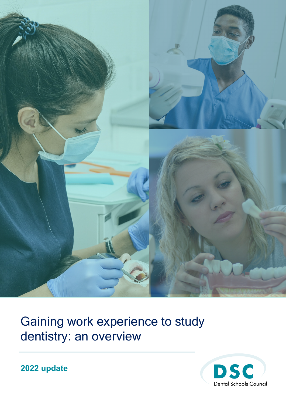

Gaining work experience to study dentistry: an overview



**2022 update**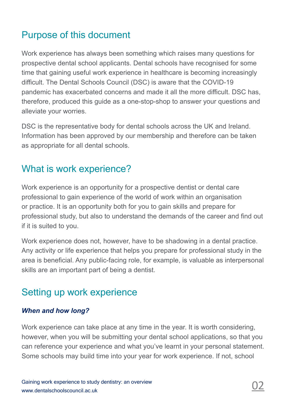# Purpose of this document

Work experience has always been something which raises many questions for prospective dental school applicants. Dental schools have recognised for some time that gaining useful work experience in healthcare is becoming increasingly difficult. The Dental Schools Council (DSC) is aware that the COVID-19 pandemic has exacerbated concerns and made it all the more difficult. DSC has, therefore, produced this guide as a one-stop-shop to answer your questions and alleviate your worries.

DSC is the representative body for dental schools across the UK and Ireland. Information has been approved by our membership and therefore can be taken as appropriate for all dental schools.

## What is work experience?

Work experience is an opportunity for a prospective dentist or dental care professional to gain experience of the world of work within an organisation or practice. It is an opportunity both for you to gain skills and prepare for professional study, but also to understand the demands of the career and find out if it is suited to you.

Work experience does not, however, have to be shadowing in a dental practice. Any activity or life experience that helps you prepare for professional study in the area is beneficial. Any public-facing role, for example, is valuable as interpersonal skills are an important part of being a dentist.

## Setting up work experience

#### *When and how long?*

Work experience can take place at any time in the year. It is worth considering, however, when you will be submitting your dental school applications, so that you can reference your experience and what you've learnt in your personal statement. Some schools may build time into your year for work experience. If not, school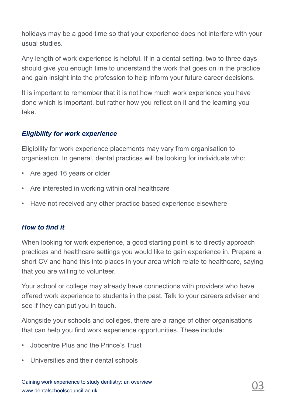holidays may be a good time so that your experience does not interfere with your usual studies.

Any length of work experience is helpful. If in a dental setting, two to three days should give you enough time to understand the work that goes on in the practice and gain insight into the profession to help inform your future career decisions.

It is important to remember that it is not how much work experience you have done which is important, but rather how you reflect on it and the learning you take.

### *Eligibility for work experience*

Eligibility for work experience placements may vary from organisation to organisation. In general, dental practices will be looking for individuals who:

- Are aged 16 years or older
- Are interested in working within oral healthcare
- Have not received any other practice based experience elsewhere

### *How to find it*

When looking for work experience, a good starting point is to directly approach practices and healthcare settings you would like to gain experience in. Prepare a short CV and hand this into places in your area which relate to healthcare, saying that you are willing to volunteer.

Your school or college may already have connections with providers who have offered work experience to students in the past. Talk to your careers adviser and see if they can put you in touch.

Alongside your schools and colleges, there are a range of other organisations that can help you find work experience opportunities. These include:

- Jobcentre Plus and the Prince's Trust
- Universities and their dental schools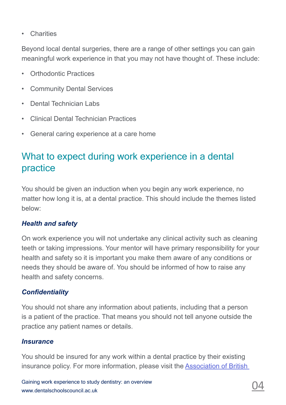• Charities

Beyond local dental surgeries, there are a range of other settings you can gain meaningful work experience in that you may not have thought of. These include:

- Orthodontic Practices
- Community Dental Services
- Dental Technician Labs
- Clinical Dental Technician Practices
- General caring experience at a care home

## What to expect during work experience in a dental practice

You should be given an induction when you begin any work experience, no matter how long it is, at a dental practice. This should include the themes listed below:

#### *Health and safety*

On work experience you will not undertake any clinical activity such as cleaning teeth or taking impressions. Your mentor will have primary responsibility for your health and safety so it is important you make them aware of any conditions or needs they should be aware of. You should be informed of how to raise any health and safety concerns.

#### *Confidentiality*

You should not share any information about patients, including that a person is a patient of the practice. That means you should not tell anyone outside the practice any patient names or details.

#### *Insurance*

You should be insured for any work within a dental practice by their existing insurance policy. For more information, please visit the Association of British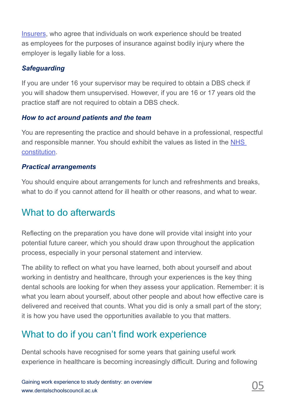[Insurers,](https://www.abi.org.uk/) who agree that individuals on work experience should be treated as employees for the purposes of insurance against bodily injury where the employer is legally liable for a loss.

#### *Safeguarding*

If you are under 16 your supervisor may be required to obtain a DBS check if you will shadow them unsupervised. However, if you are 16 or 17 years old the practice staff are not required to obtain a DBS check.

#### *How to act around patients and the team*

You are representing the practice and should behave in a professional, respectful and responsible manner. You should exhibit the values as listed in the [NHS](https://www.healthcareers.nhs.uk/working-health/working-nhs/nhs-constitution)  [constitution.](https://www.healthcareers.nhs.uk/working-health/working-nhs/nhs-constitution)

#### *Practical arrangements*

You should enquire about arrangements for lunch and refreshments and breaks, what to do if you cannot attend for ill health or other reasons, and what to wear.

## What to do afterwards

Reflecting on the preparation you have done will provide vital insight into your potential future career, which you should draw upon throughout the application process, especially in your personal statement and interview.

The ability to reflect on what you have learned, both about yourself and about working in dentistry and healthcare, through your experiences is the key thing dental schools are looking for when they assess your application. Remember: it is what you learn about yourself, about other people and about how effective care is delivered and received that counts. What you did is only a small part of the story; it is how you have used the opportunities available to you that matters.

# What to do if you can't find work experience

Dental schools have recognised for some years that gaining useful work experience in healthcare is becoming increasingly difficult. During and following